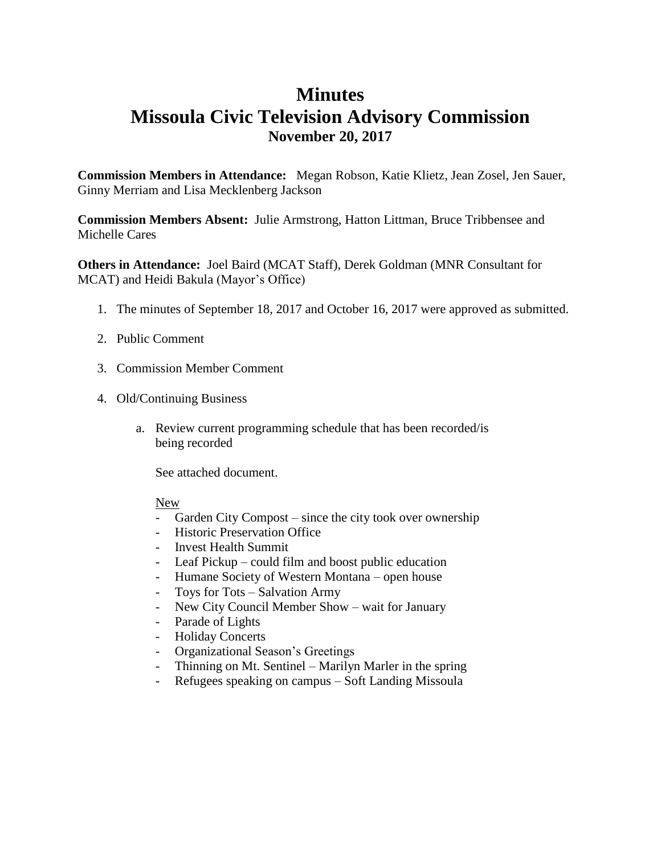# **Minutes Missoula Civic Television Advisory Commission November 20, 2017**

**Commission Members in Attendance:** Megan Robson, Katie Klietz, Jean Zosel, Jen Sauer, Ginny Merriam and Lisa Mecklenberg Jackson

**Commission Members Absent:** Julie Armstrong, Hatton Littman, Bruce Tribbensee and Michelle Cares

**Others in Attendance:** Joel Baird (MCAT Staff), Derek Goldman (MNR Consultant for MCAT) and Heidi Bakula (Mayor's Office)

- 1. The minutes of September 18, 2017 and October 16, 2017 were approved as submitted.
- 2. Public Comment
- 3. Commission Member Comment
- 4. Old/Continuing Business
	- a. Review current programming schedule that has been recorded/is being recorded

See attached document.

## New

- Garden City Compost since the city took over ownership
- Historic Preservation Office
- Invest Health Summit
- Leaf Pickup could film and boost public education
- Humane Society of Western Montana open house
- Toys for Tots Salvation Army
- New City Council Member Show wait for January
- Parade of Lights
- Holiday Concerts
- Organizational Season's Greetings
- Thinning on Mt. Sentinel Marilyn Marler in the spring
- Refugees speaking on campus Soft Landing Missoula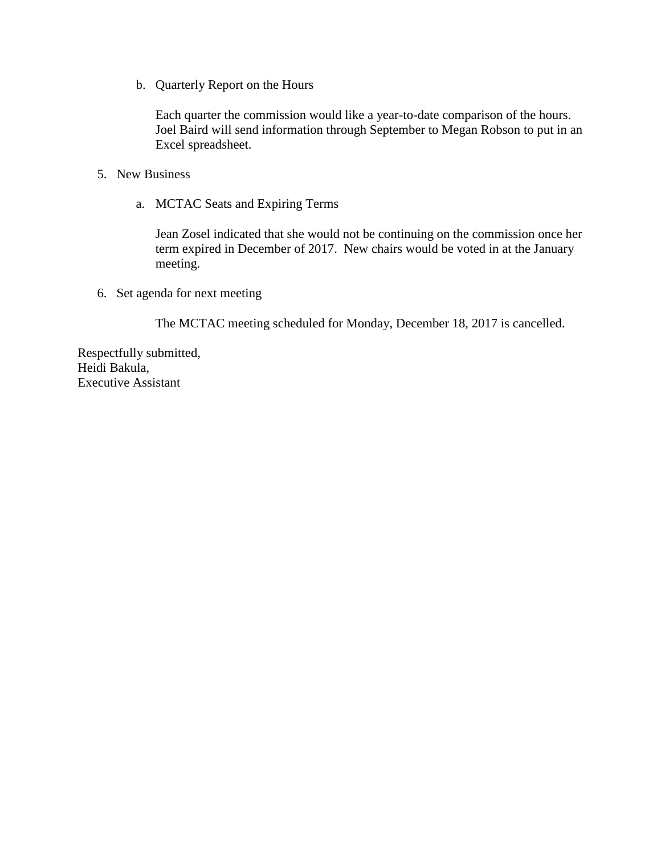b. Quarterly Report on the Hours

Each quarter the commission would like a year-to-date comparison of the hours. Joel Baird will send information through September to Megan Robson to put in an Excel spreadsheet.

- 5. New Business
	- a. MCTAC Seats and Expiring Terms

Jean Zosel indicated that she would not be continuing on the commission once her term expired in December of 2017. New chairs would be voted in at the January meeting.

6. Set agenda for next meeting

The MCTAC meeting scheduled for Monday, December 18, 2017 is cancelled.

Respectfully submitted, Heidi Bakula, Executive Assistant